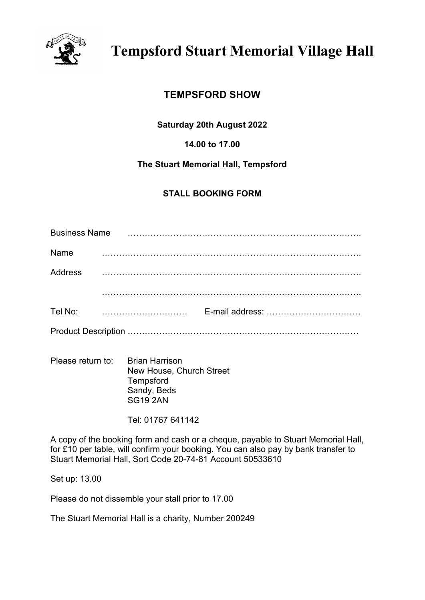

# **TEMPSFORD SHOW**

**Saturday 20th August 2022**

**14.00 to 17.00**

# **The Stuart Memorial Hall, Tempsford**

# **STALL BOOKING FORM**

| <b>Business Name</b> |  |  |  |  |  |  |  |  |  |  |  |
|----------------------|--|--|--|--|--|--|--|--|--|--|--|
| Name                 |  |  |  |  |  |  |  |  |  |  |  |
| <b>Address</b>       |  |  |  |  |  |  |  |  |  |  |  |
|                      |  |  |  |  |  |  |  |  |  |  |  |
| Tel No:              |  |  |  |  |  |  |  |  |  |  |  |
|                      |  |  |  |  |  |  |  |  |  |  |  |

Please return to: Brian Harrison New House, Church Street **Tempsford** Sandy, Beds SG19 2AN

Tel: 01767 641142

A copy of the booking form and cash or a cheque, payable to Stuart Memorial Hall, for £10 per table, will confirm your booking. You can also pay by bank transfer to Stuart Memorial Hall, Sort Code 20-74-81 Account 50533610

Set up: 13.00

Please do not dissemble your stall prior to 17.00

The Stuart Memorial Hall is a charity, Number 200249